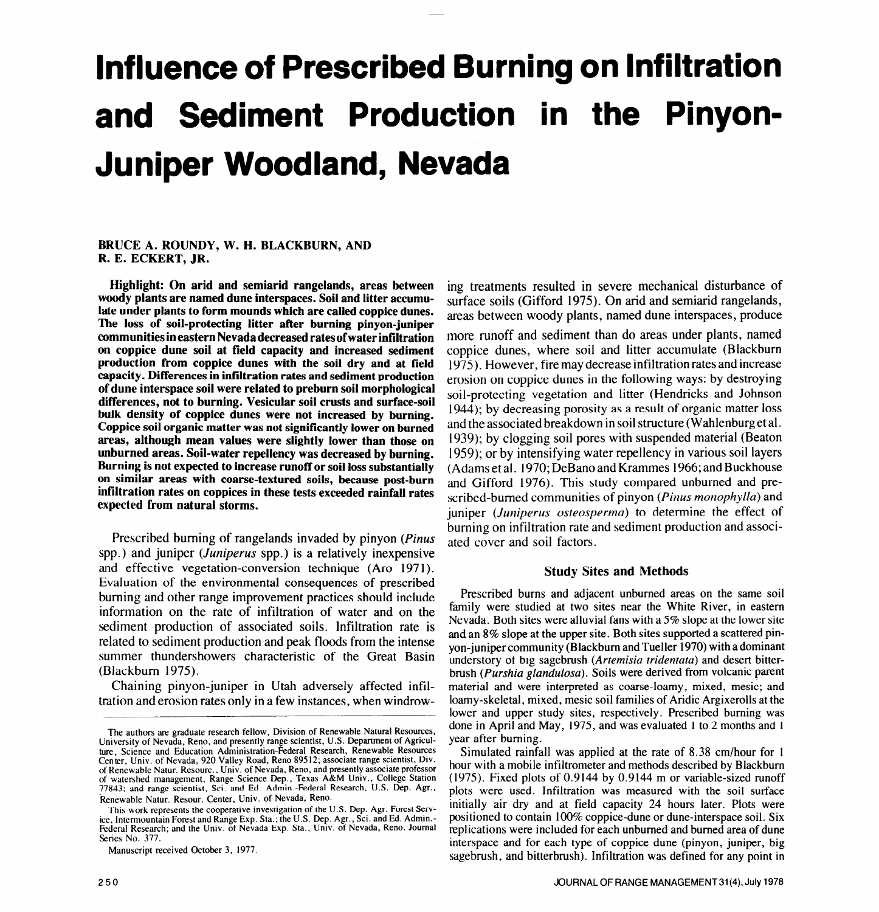# **Influence of Prescribed Burning on Infiltration and Sediment Production in the Pinyon-Juniper Woodland, Nevada**

## **BRUCE A. ROUNDY, W. H. BLACKBURN, AND R. E. ECKERT, JR.**

**Highlight: On arid and semiarid rangelands, areas between woody plants are named dune interspaces. Soil and litter accumulate under plants to form mounds which are called coppice dunes.**  The loss **of soil-protecting litter after burning pinyon-juniper communities in eastern Nevada decreased rates ofwater infiltration** more runoff and sediment than do areas under plants, named **on coppice dune soil at field capacity and increased sediment production from coppice dunes with the soil dry and at field capacity. Differences in infiltration rates and sediment production of dune interspace soil were related to preburn soil morphological differences, not to burning. Vesicular soil crusts and surface-soil bulk density of coppice dunes were not increased by burning. Coppice soil organic matter was not significantly lower on burned areas, although mean values were slightly lower than those on unburned areas. Soil-water repellency was decreased by burning. Burning is not expected to increase runoff or soil loss substantially on similar areas with coarse-textured soils, because post-burn infiltration rates on coppices in these tests exceeded rainfall rates expected from natural storms.** 

Prescribed burning of rangelands invaded by pinyon (*Pinus*) spp.) and juniper *(Juniperus* spp.) is a relatively inexpensive app.) and jumper (sumperus spp.) is a relatively mexpensive  $E = \frac{1}{2}$  consequences of the environmental consequences of prescribed  $\frac{1}{2}$ Evaluation of the environmental consequences of prescribed burning and other range improvement practices should include information on the rate of infiltration of water and on the sediment production of associated soils. Infiltration rate is relative production of associated sons. Infinitation face is icial de summer production and peak modes from the michael summer thundershowers characteristic of the Great Basin (Blackburn 1975).  $\alpha$ -vuniper in Utah adversely affected in Utah adverse in Utah adversely affected in  $\alpha$ 

Channing phiyon-jumper in Otan adversely ariected infl

Manuscript received October 3, 1977.

ing treatments resulted in severe mechanical disturbance of surface soils (Gifford 1975). On arid and semiarid rangelands, areas between woody plants, named dune interspaces, produce coppice dunes, where soil and litter accumulate (Blackburn 1975). However, fire may decrease infiltration rates and increase erosion on coppice dunes in the following ways: by destroying soil-protecting vegetation and litter (Hendricks and Johnson 1944); by decreasing porosity as a result of organic matter loss and the associated breakdown in soil structure (Wahlenburget al. 1939); by clogging soil pores with suspended material (Beaton 1959); or by intensifying water repellency in various soil layers (Adams et al. 1970; DeBano and Krammes 1966; and Buckhouse and Gifford 1976). This study compared unburned and prescribed-burned communities of pinyon *(Pinus monophylfu)* and juniper *(Juniperus osteosperma)* to determine the effect of burning on infiltration rate and sediment production and associated cover and soil factors.

## **Study Sites and Methods**

Prescribed burns and adjacent unburned areas on the same soil function of the studies and at the module at the State Studies of the State Studies near the White River, in each of the White River, in the Studies of the White River, in the Studies of the White River, in the Studies of family were studied at two sites near the White River, in eastern Nevada. Both sites were alluvial fans with a 5% slope at the lower site. and an  $8\%$  slope at the upper site. Both sites supported a scattered pinyon-juniper community (Blackburn and Tueller 1970) with a dominant understory of big sagebrush (Artemisia tridentata) and desert bitterbrush (Purshia glandulosa). Soils were derived from volcanic parent material and were interpreted as coarse-loamy, mixed, mesic; and loamy-skeletal, mixed, mesic soil families of Aridic Argixerolls at the lower and upper study sites, respectively. Prescribed burning was done in April and May, 1975, and was evaluated 1 to 2 months and 1

Simulated rainfall was applied at the rate of 8.38 cm/hour for 1 hour with a mobile infiltrometer and methods described by Blackburn (1975). Fixed plots of  $0.9144$  by  $0.9144$  m or variable-sized runoff The cooperative in the cooperative investigation of the cooperation of the cooperation of the cooperation of the Cooperation of the U.S. Dep. Agr. Forest Server used. Infiltration was measured with the soil surface<br>Represe This work represents the cooperative investigation of the U.S. Dep. Agr. Forest Serv.<br>1. Intermountain Forest and Range Exp. Sta.; the U.S. Dep. Agr., Sci. and Ed. Admin.- positioned to contain 100% coppice-dune or dune-in replications were included for each unburned and burned area of dune interspace and for each type of coppice dune (pinyon, juniper, big sagebrush, and bitterbrush). Infiltration was defined for any point in

The authors are graduate research fellow, Division of Renewable Natural Resources, done in April and University of Nevada, Reno, and presently range scientist, U.S. Department of Agriculture, Science and Education Administration-Federal Research, Renewable Resources<br>Center, Univ. of Nevada, 920 Valley Road, Reno 89512; associate range scientist, Div. however the send in the care and methods adventused by of Renewable Natur. Resourc., Univ. of Nevada, Reno, and presently associate professor of watershed management, Range Science Dep., Texas A&M Univ., College Station 77843; and range scientist, Sci. and Ed. Admin -Federal Research, U.S. Dep. Agr.,

ice, Intermountain Forest and Range Exp. Sta.; the U.S. Dep. Agr., Sci. and Ed. Admin. Federal Research; and the Univ. of Nevada Exp. Sta., Univ. of Nevada, Reno. Journal Series No. 377.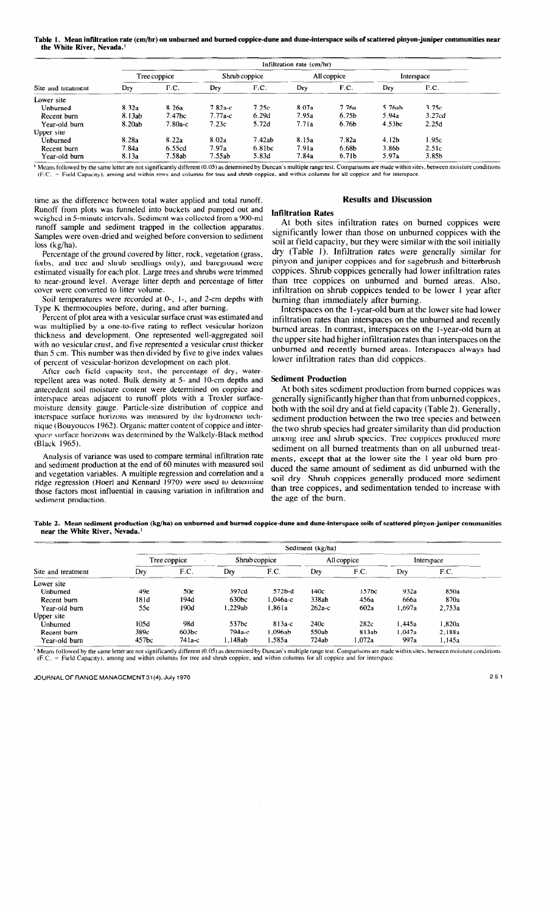**Table 1. Mean infiltration rate (cm/hr) on unburned and burned coppice-dune and dune-interspace soils of scattered pinyon-juniper communities near the White River, Nevada.'** 

|                    | Infiltration rate (cm/hr) |                    |           |               |                |                   |                   |                   |  |
|--------------------|---------------------------|--------------------|-----------|---------------|----------------|-------------------|-------------------|-------------------|--|
|                    |                           | Tree coppice       |           | Shrub coppice |                | All coppice       |                   | Interspace        |  |
| Site and treatment | Dry                       | F.C.               | Dry       | F.C.          | $D_{\Gamma Y}$ | F.C.              | Dry               | F.C.              |  |
| Lower site         |                           |                    |           |               |                |                   |                   |                   |  |
| Unburned           | 8.32a                     | 8.26a              | $7.82a-c$ | 7.25c         | 8.07a          | 7.76a             | 5.76ab            | 3.75c             |  |
| Recent burn        | 8.13ab                    | 7.47 <sub>bc</sub> | $7.77a-c$ | 6.29d         | 7.95a          | 6.75 <sub>b</sub> | 5.94a             | 3.27cd            |  |
| Year-old burn      | 8.20ab                    | $7.80a-c$          | 7.23c     | 5.72d         | 7.71a          | 6.76b             | 4.53bc            | 2.25d             |  |
| Upper site         |                           |                    |           |               |                |                   |                   |                   |  |
| <b>Unburned</b>    | 8.28a                     | 8.22a              | 8.02a     | 7.42ab        | 8.15a          | 7.82a             | 4.12 <sub>b</sub> | 1.95c             |  |
| Recent burn        | 7.84a                     | 6.55cd             | 7.97a     | 6.81bc        | 7.91a          | 6.68b             | 3.86b             | 2.51c             |  |
| Year-old burn      | 8.13a                     | 7.58ab             | 7.55ab    | 5.83d         | 7.84a          | 6.71b             | 5.97a             | 3.85 <sub>b</sub> |  |

' **Means followed by the same letter are not significantly different (0.05) as determined by Duncan's multiple range test. Comparisons are made within sites, between moisture conditions (F.C. = Field Capacity), among and within rows and columns for tree and shrub coppice, and within columns for all coppice and for interspace.** 

time as the difference between total water applied and total runoff. Runoff from plots was funneled into buckets and pumped out and weighed in 5-minute intervals. Sediment was collected from a 900-m] runoff sample and sediment trapped in the collection apparatus. Samples were oven-dried and weighed before conversion to sediment loss (kg/ha).

Percentage of the ground covered by litter, rock, vegetation (grass, forbs, and tree and shrub seedlings only), and bareground were estimated visually for each plot. Large trees and shrubs were trimmed to near-ground level. Average litter depth and percentage of litter cover were converted to litter volume.

Soil temperatures were recorded at 0-, I-, and *2-cm* depths with Type K thermocouples before, during, and after burning.

Percent of plot area with a vesicular surface crust was estimated and was multiplied by a one-to-five rating to reflect vesicular horizon thickness and development. One represented well-aggregated soil with no vesicular crust, and five represented a vesicular crust thicker than 5 cm. This number was then divided by five to give index values of percent of vesicular-horizon development on each plot.

After each field capacity test, the percentage of dry, waterrepellent area was noted. Bulk density at 5- and IO-cm depths and antecedent soil moisture content were determined on coppice and interspace areas adjacent to runoff plots with a Troxler surfacemoisture density gauge. Particle-size distribution of coppice and interspace surface horizons was measured by the hydrometer technique (Bouyoucos 1962). Organic matter content of coppice and interspace surface horizons was determined by the Walkely-Black method (Black 1965).

Analysis of variance was used to compare terminal infiltration rate and sediment production at the end of 60 minutes with measured soil and vegetation variables. A multiple regression and correlation and a ridge regression (Hoer1 and Kennard 1970) were used to determine those factors most influential in causing variation in infiltration and sediment production.

## **Results and Discussion**

# **Infiltration Rates**

At both sites infiltration rates on burned coppices were significantly lower than those on unburned coppices with the soil at field capacity, but they were similar with the soil initially dry (Table 1). Infiltration rates were generally similar for pinyon and juniper coppices and for sagebrush and bitterbrush coppices. Shrub coppices generally had lower infiltration rates than tree coppices on unburned and burned areas. Also, infiltration on shrub coppices tended to be lower 1 year after burning than immediately after burning.

Interspaces on the l-year-old bum at the lower site had lower infiltration rates than interspaces on the unburned and recently burned areas. In contrast, interspaces on the l-year-old burn at the upper site had higher infiltration rates than interspaces on the unburned and recently burned areas. Interspaces always had lower infiltration rates than did coppices.

## **Sediment Production**

At both sites sediment production from burned coppices was generally significantly higher than that from unburned coppices, both with the soil dry and at field capacity (Table 2). Generally, sediment production between the two tree species and between the two shrub species had greater similarity than did production among tree and **shrub** species. Tree coppices produced more sediment on all burned treatments than on all unburned treatments, except that at the lower site the l-year-old bum produced the same amount of sediment as did unburned with the soil dry. Shrub coppices generally produced more sediment than tree coppices, and sedimentation tended to increase with the age of the burn.

**Table 2. Mean sediment production (kg/ha) on unburned and burned coppice-dune and dune-interspace soils of scattered pinyon-juniper communities near the White River, Nevada.'** 

|                    | Sediment (kg/ha) |          |                   |          |             |        |            |        |
|--------------------|------------------|----------|-------------------|----------|-------------|--------|------------|--------|
|                    | Tree coppice     |          | Shrub coppice     |          | All coppice |        | Interspace |        |
| Site and treatment | Drv              | F.C.     | Dry               | F.C.     | Dry         | F.C.   | Dry        | F.C.   |
| Lower site         |                  |          |                   |          |             |        |            |        |
| Unburned           | 49e              | 50e      | 397cd             | 572b-d   | 140с        | 157bc  | 932a       | 850a   |
| Recent burn        | 181d             | 194d     | 630 <sub>bc</sub> | 1.046а-с | 338ab       | 456a   | 666a       | 870a   |
| Year-old burn      | 55e              | 190d     | .229ab            | 1.861a   | $262a-c$    | 602a   | l.697a     | 2,753a |
| Upper site         |                  |          |                   |          |             |        |            |        |
| Unburned           | 105d             | 98d      | 537bc             | $813a-c$ | 240c        | 282c   | l .445a    | 1.820a |
| Recent burn        | 389c             | 603bc    | 794а-с            | .096ab   | 550ab       | 813ab  | 1.047a     | 2.188a |
| Year-old burn      | 457bc            | 74 1 a-c | .148ab            | .585a    | 724ab       | 1.072a | 997a       | 1.145a |

<sup>1</sup> Means followed by the same letter are not significantly different (0.05) as determined by Duncan's multiple range test. Comparisons are made within sites, between moisture conditions **(F.C. = Field Capactty), among and within columna for tree and shrub coppice, and withm columnb for all coppice and for interspace.**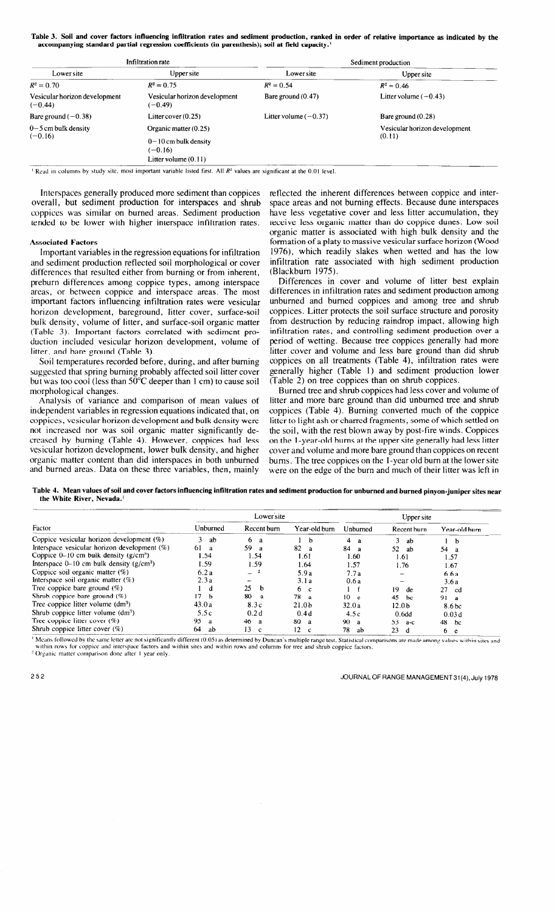**Table 3. Soil and cover factors influencing infiltration rates and sediment production, ranked in order of relative importance as indicated by the accompanying standard partial regression coefficients (in parenthesis); soil at field capacity.\*** 

|                                            | Infiltration rate                          | Sediment production     |                                         |  |  |
|--------------------------------------------|--------------------------------------------|-------------------------|-----------------------------------------|--|--|
| Lower site                                 | Upper site                                 | Lower site              | Upper site                              |  |  |
| $R^2 = 0.70$                               | $R^2 = 0.75$                               | $R^2 = 0.54$            | $R^2 = 0.46$                            |  |  |
| Vesicular horizon development<br>$(-0.44)$ | Vesicular horizon development<br>$(-0.49)$ | Bare ground $(0.47)$    | Litter volume $(-0.43)$                 |  |  |
| Bare ground $(-0.38)$                      | Litter cover $(0.25)$                      | Litter volume $(-0.37)$ | Bare ground $(0.28)$                    |  |  |
| $0 - 5$ cm bulk density<br>$(-0.16)$       | Organic matter (0.25)                      |                         | Vesicular horizon development<br>(0.11) |  |  |
|                                            | $0-10$ cm bulk density<br>$(-0.16)$        |                         |                                         |  |  |
|                                            | Litter volume $(0.11)$                     |                         |                                         |  |  |

<sup>1</sup> Read in columns by study site, most important variable listed first. All  $R<sup>2</sup>$  values are significant at the 0.01 level.

Interspaces generally produced more sediment than coppices overall, but sediment production for interspaces and shrub coppices was similar on burned areas. Sediment production tended to be lower with higher interspace infiltration rates.

### **Associated Factors**

Important variables in the regression equations for infiltration and sediment production reflected soil morphological or cover differences that resulted either from burning or from inherent, preburn differences among coppice types, among interspace areas, or between coppice and interspace areas. The most important factors influencing infiltration rates were **vesicular**  horizon development, bareground, litter cover, surface-soil bulk density, volume of litter, and surface-soil organic matter (Table 3). Important factors correlated with sediment production included vesicular horizon development, volume of litter, and bare ground (Table 3).

Soil temperatures recorded before, during, and after burning suggested that spring burning probably affected soil litter cover but was too cool (less than 50°C deeper than 1 cm) to cause soil morphological changes.

Analysis of variance and comparison of mean values of independent variables in regression equations indicated that, on coppices, vesicular horizon development and bulk density were not increased nor was soil organic matter significantly decreased by burning (Table 4). However, coppices had less vesicular horizon development, lower bulk density, and higher organic matter content than did interspaces in both unburned and burned areas. Data on these three variables, then, mainly

reflected the inherent differences between coppice and interspace areas and not burning effects. Because dune interspaces have less vegetative cover and less litter accumulation, they receive less organic matter than do coppice dunes. Low soil organic matter is associated with high bulk density and the formation of a platy to massive vesicular surface horizon (Wood 1976), which readily slakes when wetted and has the low infiltration rate associated with high sediment production (Blackbum 1975).

Differences in cover and volume of litter best explain differences in infiltration rates and sediment production among unburned and burned coppices and among tree and shrub coppices. Litter protects the soil surface structure and porosity from destruction by reducing raindrop impact, allowing high infiltration rates, and controlling sediment production over a period of wetting. Because tree coppices generally had more litter cover and volume and less bare ground than did shrub coppices on all treatments (Table 4), infiltration rates were generally higher (Table 1) and sediment production lower (Table 2) on tree coppices than on shrub coppices.

Burned tree and shrub coppices had less cover and volume of litter and more bare ground than did unburned tree and shrub coppices (Table 4). Burning converted much of the coppice litter to light ash or charred fragments, some of which settled on the soil, with the rest blown away by post-fire winds. Coppices on the 1 -year-old bums at the upper site generally had less litter cover and volume and more bare ground than coppices on recent bums. The tree coppices on the 1 -year old bum at the lower site were on the edge of the burn and much of their litter was left in

|                                       | Table 4. Mean values of soil and cover factors influencing infiltration rates and sediment production for unburned and burned pinyon-juniper sites near |
|---------------------------------------|---------------------------------------------------------------------------------------------------------------------------------------------------------|
| the White River, Nevada. <sup>1</sup> |                                                                                                                                                         |

|                                                 |           | Lower site          |                        | Upper site   |                   |                   |
|-------------------------------------------------|-----------|---------------------|------------------------|--------------|-------------------|-------------------|
| Factor                                          | Unburned  | Recent burn         | Year-old burn          | Unburned     | Recent burn       | Year-old burn     |
| Coppice vesicular horizon development $(\%)$    | 3.<br>ab  | 6<br>a              | <b>b</b>               | 4<br>a       | 3<br>-ah          | h                 |
| Interspace vesicular horizon development $(\%)$ | 61<br>- a | 59.<br>$\mathbf{a}$ | 82<br>a                | 84<br>a      | 52<br>-ab         | 54 a              |
| Coppice $0-10$ cm bulk density ( $g/cm3$ )      | 1.54      | 1.54                | 1.61                   | 1.60         | 1.61              | 1.57              |
| Interspace $0-10$ cm bulk density ( $g/cm3$ )   | l .59     | 1.59                | 1.64                   | 1.57         | 1.76              | 1.67              |
| Coppice soil organic matter $(\%)$              | 6.2a      |                     | 5.9a                   | 7.7a         |                   | 6.6a              |
| Interspace soil organic matter $(\%)$           | 2.3a      |                     | 3.1a                   | 0.6a         |                   | 3.6a              |
| Tree coppice bare ground $(\%)$                 | d         | 25<br>$\mathbf{b}$  | 6 c                    |              | 19.<br>de         | 27<br>cd          |
| Shrub coppice bare ground $(\%)$                | 17<br>- b | 80<br>- a           | 78<br>$\mathbf{a}$     | $10-10$<br>e | 45<br>bc          | 91 a              |
| Tree coppice litter volume $(dm3)$              | 43.0a     | 8.3c                | 21.0 <sub>b</sub>      | 32.0a        | 12.0 <sub>b</sub> | 8.6 <sub>bc</sub> |
| Shrub coppice litter volume (dm <sup>3</sup> )  | 5.5c      | 0.2d                | 0.4d                   | 4.5c         | 0.6 <sub>dd</sub> | 0.03d             |
| Tree coppice litter cover $(\%)$                | 95<br>-a  | 46.<br>a            | 80<br>a                | 90<br>a      | 53<br>$a-c$       | 48<br>bc          |
| Shrub coppice litter cover $(\%)$               | 64<br>ab  | 13<br>$\mathbf{c}$  | $12 \,$<br>$\mathbf c$ | 78<br>ab     | 23.<br>d          | 6 e               |

<sup>1</sup> Means followed by the same letter are not significantly different (0.05) as determined by Duncan's multiple range test. Statistical comparisons are made among values within sites and within rows for coppice and interspace factors and within sites and within rows and columns for tree and shrub coppice factors.

<sup>2</sup> Organic matter comparison done after 1 year only.